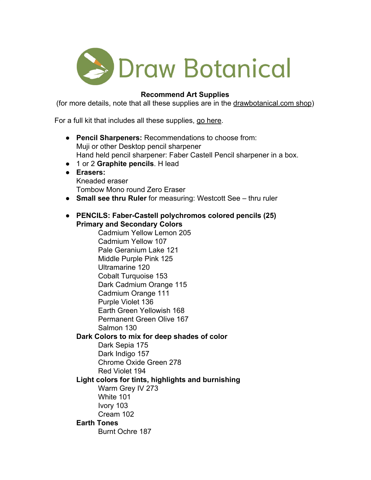

# **Recommend Art Supplies**

(for more details, note that all these supplies are in the [drawbotanical.com shop](https://www.drawbotanical.com/shop/))

For a full kit that includes all these supplies, [go here](https://drawbotanical.com/product/art-supply-kit-practice-of-botanical-drawing/).

- **Pencil Sharpeners:** Recommendations to choose from: Muji or other Desktop pencil sharpener Hand held pencil sharpener: Faber Castell Pencil sharpener in a box.
- 1 or 2 **Graphite pencils**. H lead
- **● Erasers:** Kneaded eraser Tombow Mono round Zero Eraser
- **Small see thru Ruler** for measuring: Westcott See thru ruler

# ● **PENCILS: Faber-Castell polychromos colored pencils (25) Primary and Secondary Colors**

Cadmium Yellow Lemon 205 Cadmium Yellow 107 Pale Geranium Lake 121 Middle Purple Pink 125 Ultramarine 120 Cobalt Turquoise 153 Dark Cadmium Orange 115 Cadmium Orange 111 Purple Violet 136 Earth Green Yellowish 168 Permanent Green Olive 167 Salmon 130

# **Dark Colors to mix for deep shades of color**

Dark Sepia 175 Dark Indigo 157 Chrome Oxide Green 278 Red Violet 194

# **Light colors for tints, highlights and burnishing**

Warm Grey IV 273 White 101 Ivory 103 Cream 102

# **Earth Tones**

Burnt Ochre 187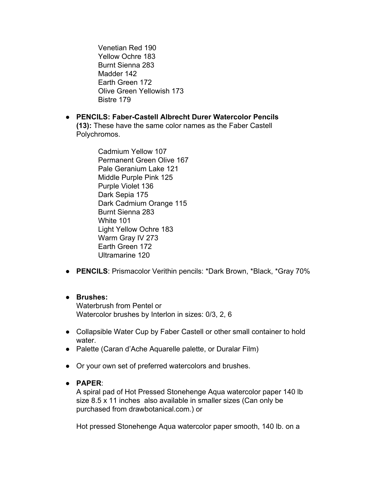Venetian Red 190 Yellow Ochre 183 Burnt Sienna 283 Madder 142 Earth Green 172 Olive Green Yellowish 173 Bistre 179

● **PENCILS: Faber-Castell Albrecht Durer Watercolor Pencils (13):** These have the same color names as the Faber Castell Polychromos.

> Cadmium Yellow 107 Permanent Green Olive 167 Pale Geranium Lake 121 Middle Purple Pink 125 Purple Violet 136 Dark Sepia 175 Dark Cadmium Orange 115 Burnt Sienna 283 White 101 Light Yellow Ochre 183 Warm Gray IV 273 Earth Green 172 Ultramarine 120

● **PENCILS**: Prismacolor Verithin pencils: \*Dark Brown, \*Black, \*Gray 70%

# ● **Brushes:**

Waterbrush from Pentel or Watercolor brushes by Interlon in sizes: 0/3, 2, 6

- Collapsible Water Cup by Faber Castell or other small container to hold water.
- Palette (Caran d'Ache Aquarelle palette, or Duralar Film)
- Or your own set of preferred watercolors and brushes.

# ● **PAPER**:

A spiral pad of Hot Pressed Stonehenge Aqua watercolor paper 140 lb size 8.5 x 11 inches also available in smaller sizes (Can only be purchased from drawbotanical.com.) or

Hot pressed Stonehenge Aqua watercolor paper smooth, 140 lb. on a